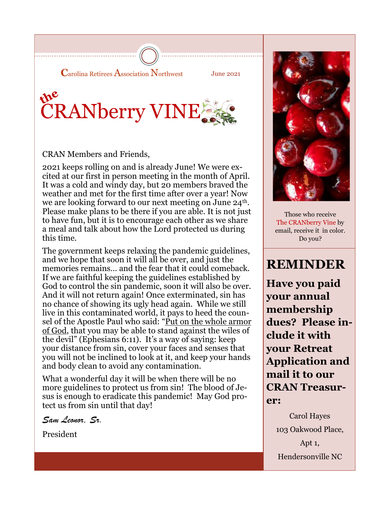**C**arolina Retirees Association Northwest

June 2021

# the CRANberry VINE

CRAN Members and Friends,

2021 keeps rolling on and is already June! We were excited at our first in person meeting in the month of April. It was a cold and windy day, but 20 members braved the weather and met for the first time after over a year! Now we are looking forward to our next meeting on June 24<sup>th</sup>. Please make plans to be there if you are able. It is not just to have fun, but it is to encourage each other as we share a meal and talk about how the Lord protected us during this time.

The government keeps relaxing the pandemic guidelines, and we hope that soon it will all be over, and just the memories remains… and the fear that it could comeback. If we are faithful keeping the guidelines established by God to control the sin pandemic, soon it will also be over. And it will not return again! Once exterminated, sin has no chance of showing its ugly head again. While we still live in this contaminated world, it pays to heed the counsel of the Apostle Paul who said: "Put on the whole armor of God, that you may be able to stand against the wiles of the devil" (Ephesians 6:11). It's a way of saying: keep your distance from sin, cover your faces and senses that you will not be inclined to look at it, and keep your hands and body clean to avoid any contamination.

What a wonderful day it will be when there will be no more guidelines to protect us from sin! The blood of Jesus is enough to eradicate this pandemic! May God protect us from sin until that day!

*Sam Leonor, Sr.* 

President



Those who receive The CRANberry Vine by email, receive it in color. Do you?

# **REMINDER**

**Have you paid your annual membership dues? Please include it with your Retreat Application and mail it to our CRAN Treasurer:**

Carol Hayes 103 Oakwood Place, Apt 1, Hendersonville NC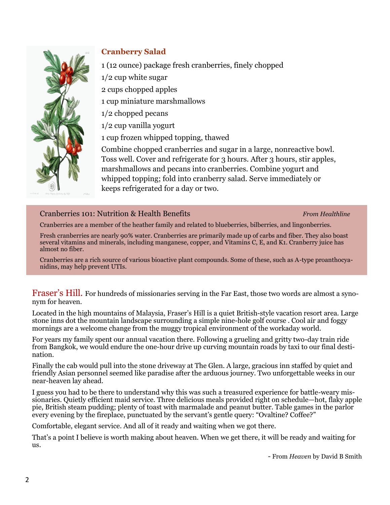

# **Cranberry Salad**

1 (12 ounce) package fresh cranberries, finely chopped

1/2 cup white sugar

2 cups chopped apples

1 cup miniature marshmallows

1/2 chopped pecans

1/2 cup vanilla yogurt

1 cup frozen whipped topping, thawed

Combine chopped cranberries and sugar in a large, nonreactive bowl. Toss well. Cover and refrigerate for 3 hours. After 3 hours, stir apples, marshmallows and pecans into cranberries. Combine yogurt and whipped topping; fold into cranberry salad. Serve immediately or keeps refrigerated for a day or two.

### Cranberries 101: Nutrition & Health Benefits *From Healthline*

Cranberries are a member of the heather family and related to blueberries, bilberries, and lingonberries.

Fresh cranberries are nearly 90% water. Cranberries are primarily made up of carbs and fiber. They also boast several vitamins and minerals, including manganese, copper, and Vitamins C, E, and K1. Cranberry juice has almost no fiber.

Cranberries are a rich source of various bioactive plant compounds. Some of these, such as A-type proanthocyanidins, may help prevent UTIs.

Fraser's Hill. For hundreds of missionaries serving in the Far East, those two words are almost a synonym for heaven.

Located in the high mountains of Malaysia, Fraser's Hill is a quiet British-style vacation resort area. Large stone inns dot the mountain landscape surrounding a simple nine-hole golf course . Cool air and foggy mornings are a welcome change from the muggy tropical environment of the workaday world.

For years my family spent our annual vacation there. Following a grueling and gritty two-day train ride from Bangkok, we would endure the one-hour drive up curving mountain roads by taxi to our final destination.

Finally the cab would pull into the stone driveway at The Glen. A large, gracious inn staffed by quiet and friendly Asian personnel seemed like paradise after the arduous journey. Two unforgettable weeks in our near-heaven lay ahead.

I guess you had to be there to understand why this was such a treasured experience for battle-weary missionaries. Quietly efficient maid service. Three delicious meals provided right on schedule—hot, flaky apple pie, British steam pudding; plenty of toast with marmalade and peanut butter. Table games in the parlor every evening by the fireplace, punctuated by the servant's gentle query: "Ovaltine? Coffee?"

Comfortable, elegant service. And all of it ready and waiting when we got there.

That's a point I believe is worth making about heaven. When we get there, it will be ready and waiting for us.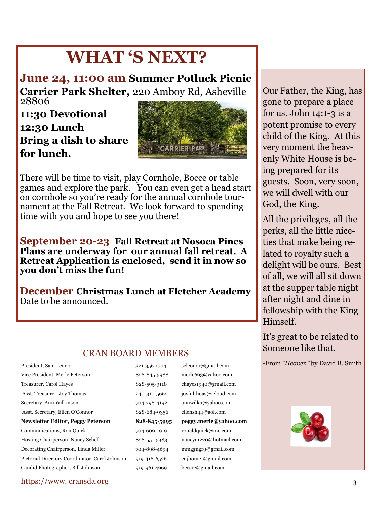# **WHAT 'S NEXT?**

**June 24, 11:00 am Summer Potluck Picnic Carrier Park Shelter,** 220 Amboy Rd, Asheville 28806

**11:30 Devotional 12:30 Lunch Bring a dish to share for lunch.** 



There will be time to visit, play Cornhole, Bocce or table games and explore the park. You can even get a head start on cornhole so you're ready for the annual cornhole tournament at the Fall Retreat. We look forward to spending time with you and hope to see you there!

**September 20-23 Fall Retreat at Nosoca Pines Plans are underway for our annual fall retreat. A Retreat Application is enclosed, send it in now so you don't miss the fun!** 

**December Christmas Lunch at Fletcher Academy**  Date to be announced.

# CRAN BOARD MEMBERS

Vice President, Merle Peterson 828-845-5988 merle693@yahoo.com Treasurer, Carol Hayes 828-595-3118 chayes1940@gmail.com Asst. Treasurer, Joy Thomas 240-310-5662 joyfulthoas@icloud.com Secretary, Ann Wilkinson 704-798-4192 annwilkn@yahoo.com Asst. Secretary, Ellen O'Connor 828-684-9356 ellensh44@aol.com **Newsletter Editor, Peggy Peterson 828-845-5995 peggy.merle@yahoo.com** Communications, Ron Quick 704-609-1919 ronaldquick@me.com Hosting Chairperson, Nancy Schell 828-551-5383 nancym220@hotmail.com Decorating Chairperson, Linda Miller 704-898-4694 mmggngr9@gmail.com Pictorial Directory Coordinator, Carol Johnson 919-418-6526 cnjhome1@gmail.com Candid Photographer, Bill Johnson 919-961-4969 beecre@gmail.com

President, Sam Leonor 321-356-1704 seleonor@gmail.com

Our Father, the King, has gone to prepare a place for us. John  $14:1-3$  is a potent promise to every child of the King. At this very moment the heavenly White House is being prepared for its guests. Soon, very soon, we will dwell with our God, the King.

All the privileges, all the perks, all the little niceties that make being related to royalty such a delight will be ours. Best of all, we will all sit down at the supper table night after night and dine in fellowship with the King Himself.

It's great to be related to Someone like that.

*-*From *"Heaven"* by David B. Smith



## https://www. cransda.org 3